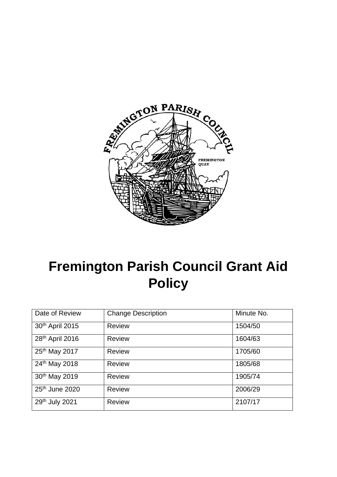

# **Fremington Parish Council Grant Aid Policy**

| Date of Review             | <b>Change Description</b> | Minute No. |
|----------------------------|---------------------------|------------|
| 30th April 2015            | <b>Review</b>             | 1504/50    |
| 28th April 2016            | <b>Review</b>             | 1604/63    |
| 25th May 2017              | <b>Review</b>             | 1705/60    |
| 24th May 2018              | <b>Review</b>             | 1805/68    |
| 30th May 2019              | Review                    | 1905/74    |
| 25 <sup>th</sup> June 2020 | <b>Review</b>             | 2006/29    |
| 29th July 2021             | <b>Review</b>             | 2107/17    |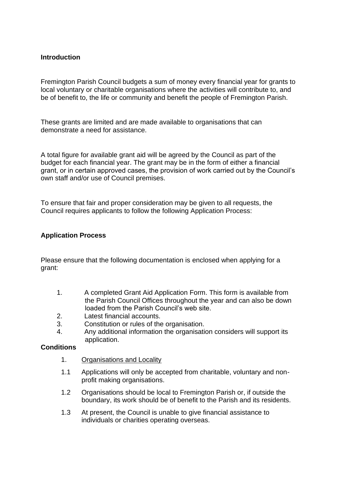## **Introduction**

Fremington Parish Council budgets a sum of money every financial year for grants to local voluntary or charitable organisations where the activities will contribute to, and be of benefit to, the life or community and benefit the people of Fremington Parish.

These grants are limited and are made available to organisations that can demonstrate a need for assistance.

A total figure for available grant aid will be agreed by the Council as part of the budget for each financial year. The grant may be in the form of either a financial grant, or in certain approved cases, the provision of work carried out by the Council's own staff and/or use of Council premises.

To ensure that fair and proper consideration may be given to all requests, the Council requires applicants to follow the following Application Process:

### **Application Process**

Please ensure that the following documentation is enclosed when applying for a grant:

- 1. A completed Grant Aid Application Form. This form is available from the Parish Council Offices throughout the year and can also be down loaded from the Parish Council's web site.
- 2. Latest financial accounts.
- 3. Constitution or rules of the organisation.
- 4. Any additional information the organisation considers will support its application.

#### **Conditions**

- 1. Organisations and Locality
- 1.1 Applications will only be accepted from charitable, voluntary and nonprofit making organisations.
- 1.2 Organisations should be local to Fremington Parish or, if outside the boundary, its work should be of benefit to the Parish and its residents.
- 1.3 At present, the Council is unable to give financial assistance to individuals or charities operating overseas.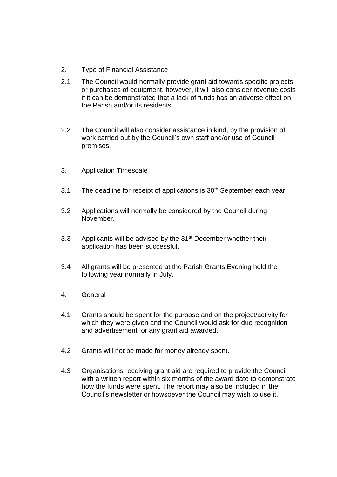- 2. Type of Financial Assistance
- 2.1 The Council would normally provide grant aid towards specific projects or purchases of equipment, however, it will also consider revenue costs if it can be demonstrated that a lack of funds has an adverse effect on the Parish and/or its residents.
- 2.2 The Council will also consider assistance in kind, by the provision of work carried out by the Council's own staff and/or use of Council premises.
- 3. Application Timescale
- 3.1 The deadline for receipt of applications is 30<sup>th</sup> September each year.
- 3.2 Applications will normally be considered by the Council during November.
- 3.3 Applicants will be advised by the 31<sup>st</sup> December whether their application has been successful.
- 3.4 All grants will be presented at the Parish Grants Evening held the following year normally in July.
- 4. General
- 4.1 Grants should be spent for the purpose and on the project/activity for which they were given and the Council would ask for due recognition and advertisement for any grant aid awarded.
- 4.2 Grants will not be made for money already spent.
- 4.3 Organisations receiving grant aid are required to provide the Council with a written report within six months of the award date to demonstrate how the funds were spent. The report may also be included in the Council's newsletter or howsoever the Council may wish to use it.